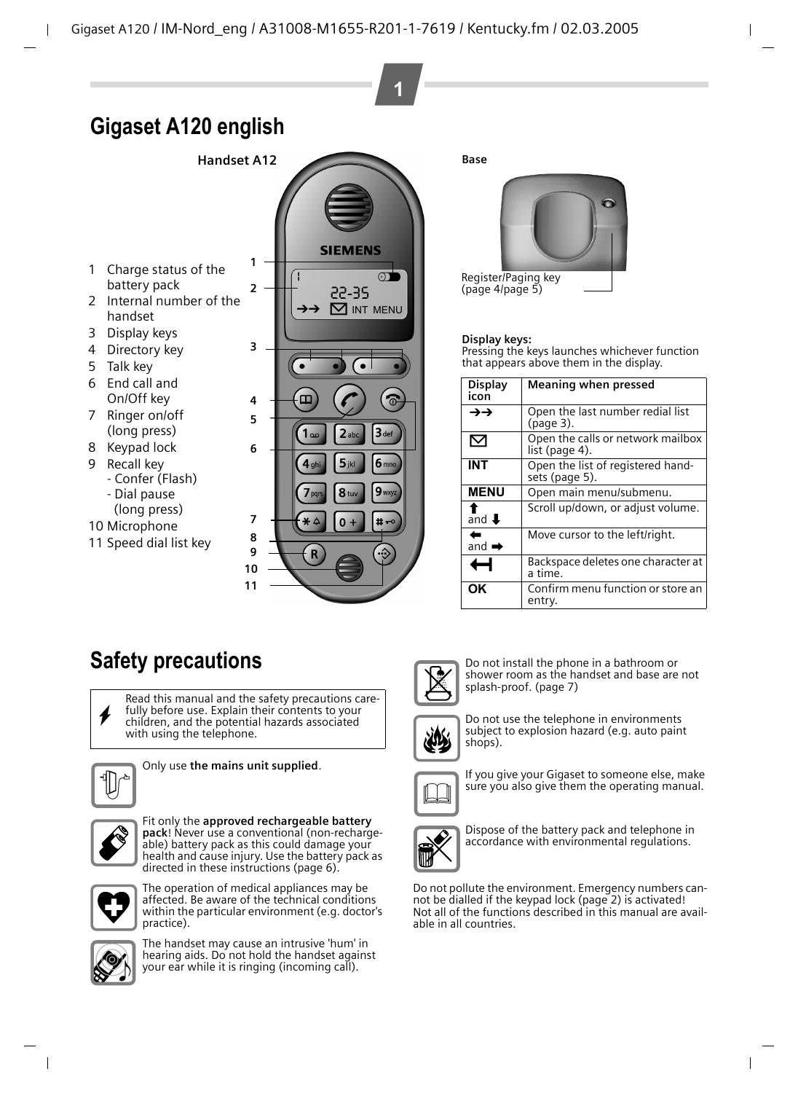# **Gigaset A120 english**

**Handset A12**

- 1 Charge status of the battery pack
- 2 Internal number of the handset
- 3 Display keys
- 4 Directory key
- 5 Talk key
- 6 End call and On/Off key
- 7 Ringer on/off (long press)
- 8 Keypad lock
- 9 Recall key
	- Confer (Flash) - Dial pause
	- (long press)
- 10 Microphone
- 11 Speed dial list key



<span id="page-0-1"></span>**Base**

**1**



([page 4/](#page-3-1)[page 5](#page-4-1))

#### **Display keys:**

Pressing the keys launches whichever function that appears above them in the display.

<span id="page-0-0"></span>

| <b>Display</b><br>icon      | <b>Meaning when pressed</b>                         |
|-----------------------------|-----------------------------------------------------|
| →→                          | Open the last number redial list<br>(page 3).       |
| ⊠                           | Open the calls or network mailbox<br>list (page 4). |
| INT                         | Open the list of registered hand-<br>sets (page 5). |
| <b>MENU</b>                 | Open main menu/submenu.                             |
| and $\overline{\mathbf{I}}$ | Scroll up/down, or adjust volume.                   |
| and $\rightarrow$           | Move cursor to the left/right.                      |
|                             | Backspace deletes one character at<br>a time.       |
| ΟK                          | Confirm menu function or store an<br>entry.         |

# **Safety precautions**

Read this manual and the safety precautions care-<br> **fully before use.** Explain their contents to your<br>
children, and the potential hazards associated children, and the potential hazards associated with using the telephone.



Only use **the mains unit supplied**.



Fit only the **approved rechargeable battery pack**! Never use a conventional (non-rechargeable) battery pack as this could damage your health and cause injury. Use the battery pack as directed in these instructions [\(page 6\).](#page-5-0)



The operation of medical appliances may be affected. Be aware of the technical conditions within the particular environment (e.g. doctor's practice).



The handset may cause an intrusive 'hum' in hearing aids. Do not hold the handset against your ear while it is ringing (incoming call).



Do not install the phone in a bathroom or shower room as the handset and base are not splash-proof. [\(page 7\)](#page-6-0)



Do not use the telephone in environments subject to explosion hazard (e.g. auto paint shops).



If you give your Gigaset to someone else, make sure you also give them the operating manual.



Dispose of the battery pack and telephone in accordance with environmental regulations.

Do not pollute the environment. Emergency numbers cannot be dialled if the keypad lock ([page 2\)](#page-1-0) is activated! Not all of the functions described in this manual are available in all countries.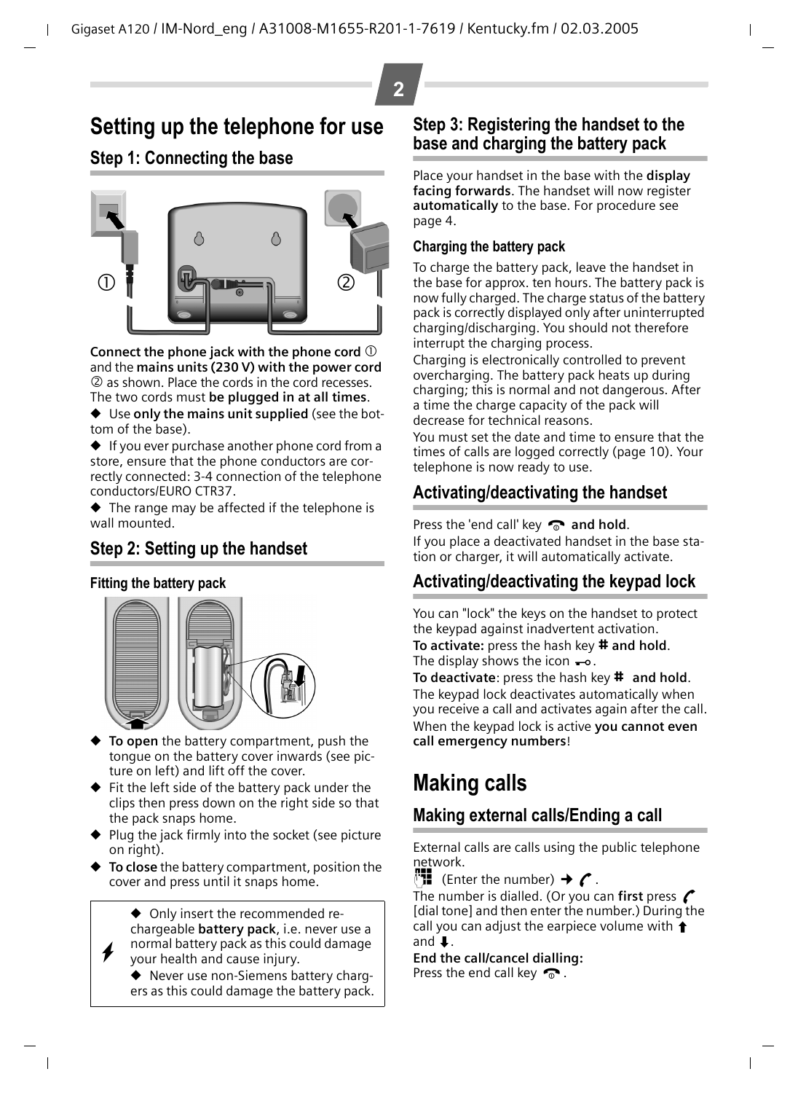# **2**

# **Setting up the telephone for use**

## <span id="page-1-2"></span>**Step 1: Connecting the base**



**Connect the phone jack with the phone cord**  $\mathbb{O}$ and the **mains units (230 V) with the power cord** 2 as shown. Place the cords in the cord recesses. The two cords must **be plugged in at all times**.

◆ Use **only the mains unit supplied** (see the bottom of the base).

◆ If you ever purchase another phone cord from a store, ensure that the phone conductors are correctly connected: 3-4 connection of the telephone conductors/EURO CTR37.

◆ The range may be affected if the telephone is wall mounted.

## **Step 2: Setting up the handset**

### **Fitting the battery pack**

 $\boldsymbol{\ast}$ 



- ◆ **To open** the battery compartment, push the tongue on the battery cover inwards (see picture on left) and lift off the cover.
- ◆ Fit the left side of the battery pack under the clips then press down on the right side so that the pack snaps home.
- Plug the jack firmly into the socket (see picture on right).
- ◆ **To close** the battery compartment, position the cover and press until it snaps home.

◆ Only insert the recommended rechargeable **battery pack**, i.e. never use a normal battery pack as this could damage your health and cause injury.

◆ Never use non-Siemens battery chargers as this could damage the battery pack.

### **Step 3: Registering the handset to the base and charging the battery pack**

Place your handset in the base with the **display facing forwards**. The handset will now register **automatically** to the base. For procedure [see](#page-3-2)  [page 4](#page-3-2).

### <span id="page-1-1"></span>**Charging the battery pack**

To charge the battery pack, leave the handset in the base for approx. ten hours. The battery pack is now fully charged. The charge status of the battery pack is correctly displayed only after uninterrupted charging/discharging. You should not therefore interrupt the charging process.

Charging is electronically controlled to prevent overcharging. The battery pack heats up during charging; this is normal and not dangerous. After a time the charge capacity of the pack will decrease for technical reasons.

You must set the date and time to ensure that the times of calls are logged correctly [\(page 10\).](#page-9-0) Your telephone is now ready to use.

## **Activating/deactivating the handset**

Press the 'end call' key **a** and hold.

If you place a deactivated handset in the base station or charger, it will automatically activate.

## <span id="page-1-0"></span>**Activating/deactivating the keypad lock**

You can "lock" the keys on the handset to protect the keypad against inadvertent activation.

**To activate:** press the hash key # and hold. The display shows the icon  $\rightarrow$ .

**To deactivate:** press the hash key **#** and hold. The keypad lock deactivates automatically when you receive a call and activates again after the call. When the keypad lock is active **you cannot even call emergency numbers**!

# **Making calls**

## **Making external calls/Ending a call**

External calls are calls using the public telephone network.

 $^{\prime\prime}$  (Enter the number)  $\rightarrow$  (

The number is dialled. (Or you can first press  $\curvearrowleft$ [dial tone] and then enter the number.) During the call you can adjust the earpiece volume with  $\uparrow$ and  $\mathbf{I}$ .

**End the call/cancel dialling:**

Press the end call key  $\bullet$ .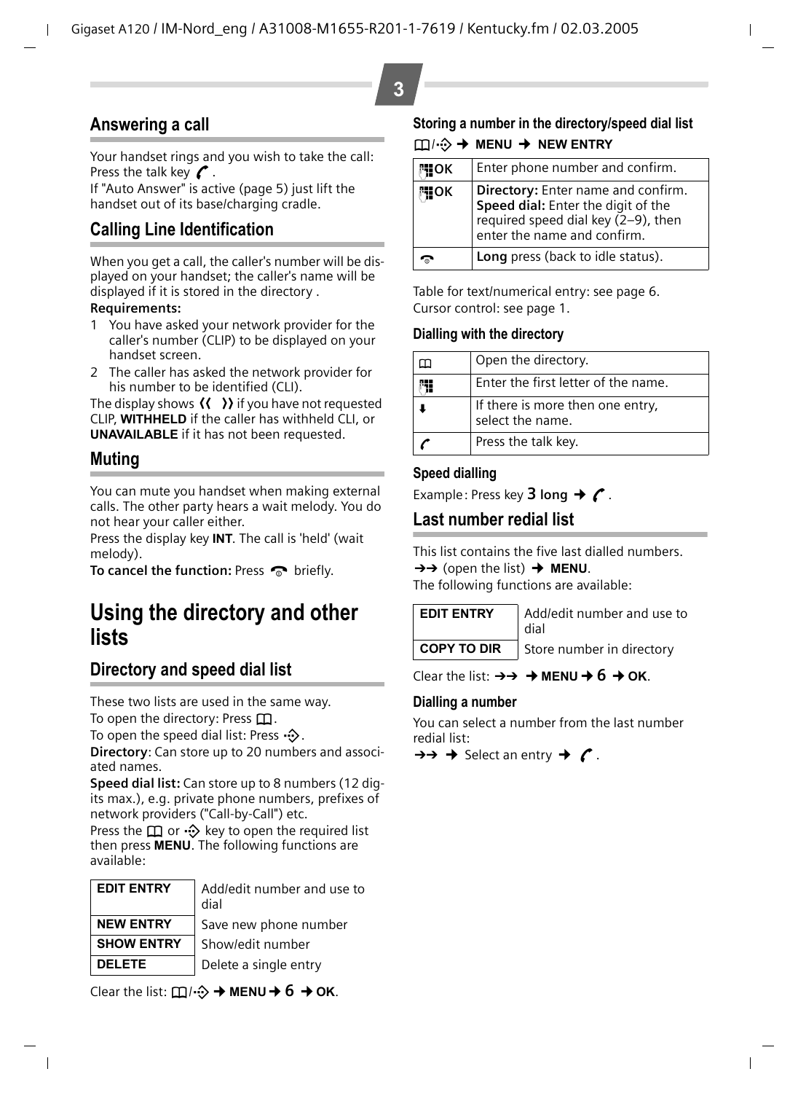## **Answering a call**

Your handset rings and you wish to take the call: Press the talk key  $\curvearrowright$ .

If "Auto Answer" is active [\(page 5\)](#page-4-2) just lift the handset out of its base/charging cradle.

## **Calling Line Identification**

When you get a call, the caller's number will be displayed on your handset; the caller's name will be displayed if it is stored in the directory .

#### **Requirements:**

- You have asked your network provider for the caller's number (CLIP) to be displayed on your handset screen.
- 2 The caller has asked the network provider for his number to be identified (CLI).

The display shows  $\langle \langle \rangle \rangle$  if you have not requested CLIP, **WITHHELD** if the caller has withheld CLI, or **UNAVAILABLE** if it has not been requested.

## **Muting**

You can mute you handset when making external calls. The other party hears a wait melody. You do not hear your caller either.

Press the display key **INT**. The call is 'held' (wait melody).

**To cancel the function: Press a briefly.** 

## **Using the directory and other lists**

## **Directory and speed dial list**

These two lists are used in the same way. To open the directory: Press  $\Box$ .

To open the speed dial list: Press  $\cdot \diamondsuit$ .

**Directory**: Can store up to 20 numbers and associated names.

**Speed dial list:** Can store up to 8 numbers (12 digits max.), e.g. private phone numbers, prefixes of network providers ("Call-by-Call") etc.

Press the  $\Box$  or  $\cdot \odot$  key to open the required list then press **MENU**. The following functions are available:

| <b>EDIT ENTRY</b> | Add/edit number and use to<br>dial |  |
|-------------------|------------------------------------|--|
| <b>NEW ENTRY</b>  | Save new phone number              |  |
| <b>SHOW ENTRY</b> | Show/edit number                   |  |
| <b>DELETE</b>     | Delete a single entry              |  |

**Storing a number in the directory/speed dial list** h/C¢ **MENU** ¢ **NEW ENTRY**

| 開OK | Enter phone number and confirm.                                                                                                                |
|-----|------------------------------------------------------------------------------------------------------------------------------------------------|
| 門OK | Directory: Enter name and confirm.<br>Speed dial: Enter the digit of the<br>required speed dial key (2-9), then<br>enter the name and confirm. |
|     | Long press (back to idle status).                                                                                                              |

Table for text/numerical entry: [see page 6.](#page-5-1) Cursor control: [see page 1.](#page-0-0)

#### **Dialling with the directory**

| Open the directory.                                  |
|------------------------------------------------------|
| Enter the first letter of the name.                  |
| If there is more then one entry,<br>select the name. |
| Press the talk key.                                  |

### **Speed dialling**

Example: Press key **3 long**  $\rightarrow$  **C**.

### <span id="page-2-0"></span>**Last number redial list**

This list contains the five last dialled numbers.  $\rightarrow$  (open the list)  $\rightarrow$  **MENU**.

The following functions are available:

| <b>EDIT ENTRY</b>  |  |
|--------------------|--|
|                    |  |
| <b>COPY TO DIR</b> |  |

**EDIT ENTRY** Add/edit number and use to dial

**Store number in directory** 

Clear the list:  $\rightarrow \rightarrow \rightarrow \text{MENU} + 6 \rightarrow \text{OK}$ .

### **Dialling a number**

You can select a number from the last number redial list:

 $\rightarrow \rightarrow \rightarrow$  Select an entry  $\rightarrow$  C.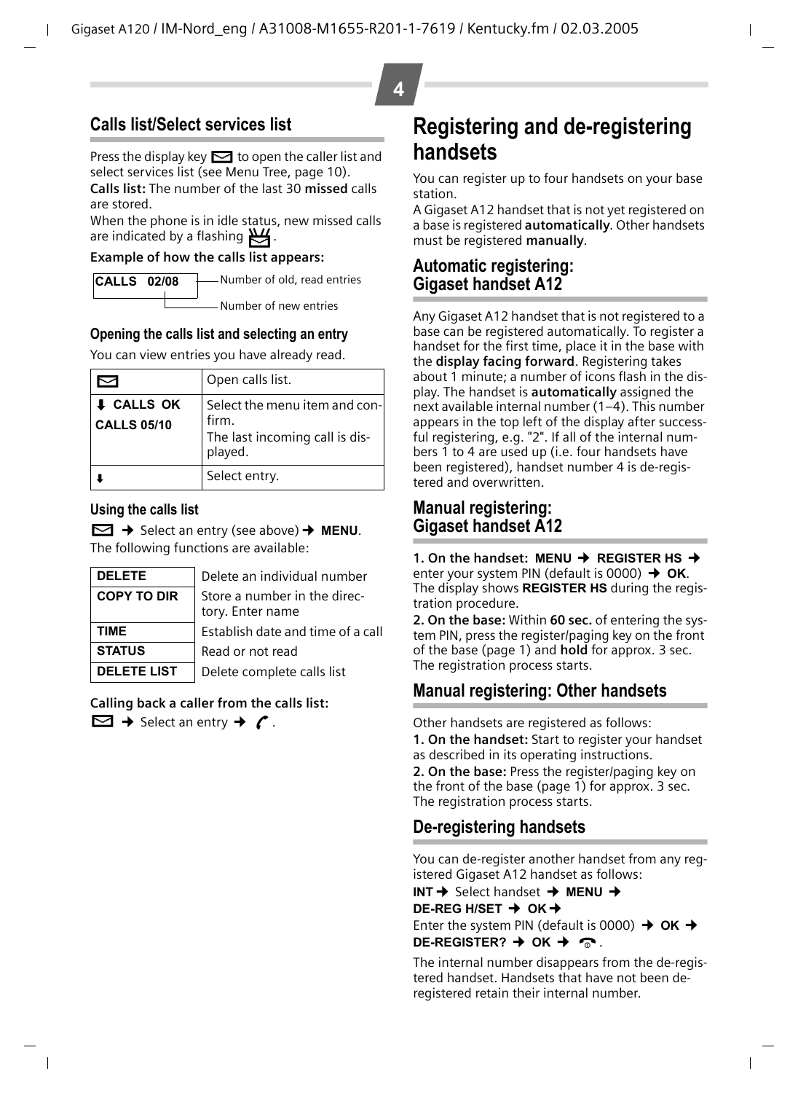## <span id="page-3-0"></span>**Calls list/Select services list**

Press the display key  $\leq$  to open the caller list and select services list (see Menu Tree, [page 10\)](#page-9-0). **Calls list:** The number of the last 30 **missed** calls

are stored. When the phone is in idle status, new missed calls are indicated by a flashing  $\mathbb{E}$ .

### **Example of how the calls list appears:**

| Number of old, read entries<br><b>CALLS 02/08</b> |
|---------------------------------------------------|
|                                                   |

Number of new entries

### **Opening the calls list and selecting an entry**

You can view entries you have already read.

|                                         | Open calls list.                                                                    |
|-----------------------------------------|-------------------------------------------------------------------------------------|
| <b>I</b> CALLS OK<br><b>CALLS 05/10</b> | Select the menu item and con-<br>firm.<br>The last incoming call is dis-<br>played. |
|                                         | Select entry.                                                                       |

### **Using the calls list**

Û¢ Select an entry (see above)¢ **MENU**. The following functions are available:

| <b>DELETE</b>      | Delete an individual number                 |
|--------------------|---------------------------------------------|
| <b>COPY TO DIR</b> | Store a number in the directory. Enter name |
| TIME               | Establish date and time of a call           |
| <b>STATUS</b>      | Read or not read                            |
| <b>DELETE LIST</b> | Delete complete calls list                  |

**Calling back a caller from the calls list:**

 $\Box$   $\rightarrow$  Select an entry  $\rightarrow$   $\prime$ .

## <span id="page-3-1"></span>**Registering and de-registering handsets**

You can register up to four handsets on your base station.

A Gigaset A12 handset that is not yet registered on a base is registered **automatically**. Other handsets must be registered **manually**.

### <span id="page-3-2"></span>**Automatic registering: Gigaset handset A12**

Any Gigaset A12 handset that is not registered to a base can be registered automatically. To register a handset for the first time, place it in the base with the **display facing forward**. Registering takes about 1 minute; a number of icons flash in the display. The handset is **automatically** assigned the next available internal number (1–4). This number appears in the top left of the display after successful registering, e.g. "2". If all of the internal numbers 1 to 4 are used up (i.e. four handsets have been registered), handset number 4 is de-registered and overwritten.

### <span id="page-3-3"></span>**Manual registering: Gigaset handset A12**

**1. On the handset: MENU → REGISTER HS →** enter your system PIN (default is 0000) **→ OK**. The display shows **REGISTER HS** during the registration procedure.

**2. On the base:** Within **60 sec.** of entering the system PIN, press the register/paging key on the front of the base [\(page 1\)](#page-0-1) and **hold** for approx. 3 sec. The registration process starts.

## **Manual registering: Other handsets**

Other handsets are registered as follows:

**1. On the handset:** Start to register your handset as described in its operating instructions.

**2. On the base:** Press the register/paging key on the front of the base [\(page 1\)](#page-0-1) for approx. 3 sec. The registration process starts.

## **De-registering handsets**

You can de-register another handset from any registered Gigaset A12 handset as follows:

**INT** → Select handset → MENU → **DE-REG H/SET → OK →** Enter the system PIN (default is 0000)  $\rightarrow$  OK  $\rightarrow$ 

### **DE-REGISTER?**  $\rightarrow$  OK  $\rightarrow \infty$ .

The internal number disappears from the de-registered handset. Handsets that have not been deregistered retain their internal number.

**4**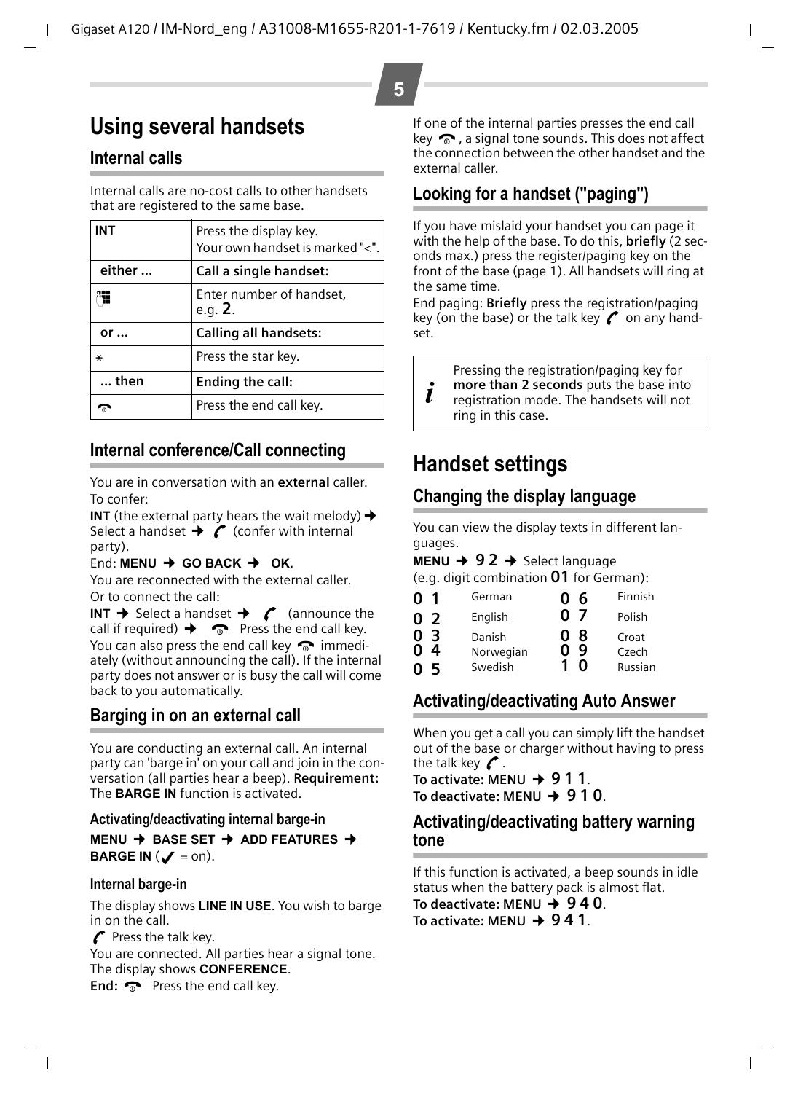# <span id="page-4-0"></span>**Using several handsets**

## **Internal calls**

Internal calls are no-cost calls to other handsets that are registered to the same base.

| <b>INT</b>    | Press the display key.<br>Your own handset is marked "<". | If yo<br>with<br>ond |
|---------------|-----------------------------------------------------------|----------------------|
| either        | Call a single handset:                                    | fror                 |
|               | Enter number of handset,<br>e.q. 2.                       | the<br>End<br>key    |
| or            | <b>Calling all handsets:</b>                              | set.                 |
| ∗             | Press the star key.                                       |                      |
| $\ldots$ then | Ending the call:                                          |                      |
|               | Press the end call key.                                   |                      |

## **Internal conference/Call connecting**

You are in conversation with an **external** caller. To confer:

**INT** (the external party hears the wait melody)  $\rightarrow$ Select a handset  $\rightarrow$  (confer with internal party).

### End: **MENU** ¢ **GO BACK** ¢ **OK.**

You are reconnected with the external caller. Or to connect the call:

**INT**  $\rightarrow$  Select a handset  $\rightarrow$   $\infty$  (announce the call if required)  $\rightarrow \infty$  Press the end call key. You can also press the end call key  $\bullet$  immediately (without announcing the call). If the internal party does not answer or is busy the call will come back to you automatically.

## **Barging in on an external call**

You are conducting an external call. An internal party can 'barge in' on your call and join in the conversation (all parties hear a beep). **Requirement:** The **BARGE IN** function is activated.

### **Activating/deactivating internal barge-in**

**MENU** ¢ **BASE SET** ¢ **ADD FEATURES** ¢ **BARGE IN**  $(\mathcal{J} = \text{on}).$ 

### **Internal barge-in**

The display shows **LINE IN USE**. You wish to barge in on the call.

 $\curvearrowright$  Press the talk key.

You are connected. All parties hear a signal tone. The display shows **CONFERENCE**.

If one of the internal parties presses the end call key  $\odot$ , a signal tone sounds. This does not affect the connection between the other handset and the external caller.

## <span id="page-4-1"></span>**Looking for a handset ("paging")**

**5**

If you have mislaid your handset you can page it with the help of the base. To do this, **briefly** (2 seconds max.) press the register/paging key on the front of the base [\(page 1\).](#page-0-1) All handsets will ring at the same time.

End paging: **Briefly** press the registration/paging key (on the base) or the talk key  $\curvearrowright$  on any handset.

Pressing the registration/paging key for

**more than 2 seconds** puts the base into registration mode. The handsets will not ring in this case.

## **Handset settings**

## **Changing the display language**

You can view the display texts in different languages.

**MENU**  $\rightarrow$  **92**  $\rightarrow$  Select language

(e.g. digit combination Q1 for German):

| 0 <sub>1</sub>                                  | German                         | 06                           | Finnish                   |
|-------------------------------------------------|--------------------------------|------------------------------|---------------------------|
| 0 <sub>2</sub>                                  | English                        | 07                           | Polish                    |
| $\overline{3}$<br>0<br>$\Omega$<br>4<br>-5<br>0 | Danish<br>Norwegian<br>Swedish | -8<br>$\mathbf{0}$<br>9<br>ŋ | Croat<br>Czech<br>Russian |

## <span id="page-4-2"></span>**Activating/deactivating Auto Answer**

When you get a call you can simply lift the handset out of the base or charger without having to press the talk key  $\curvearrowleft$ .

To activate: MENU **→ 911**. To deactivate: MFNU  $\rightarrow$  9.1 Q.

### **Activating/deactivating battery warning tone**

If this function is activated, a beep sounds in idle status when the battery pack is almost flat. To deactivate: MENU → 940.

To activate: MFNU  $\rightarrow$  941.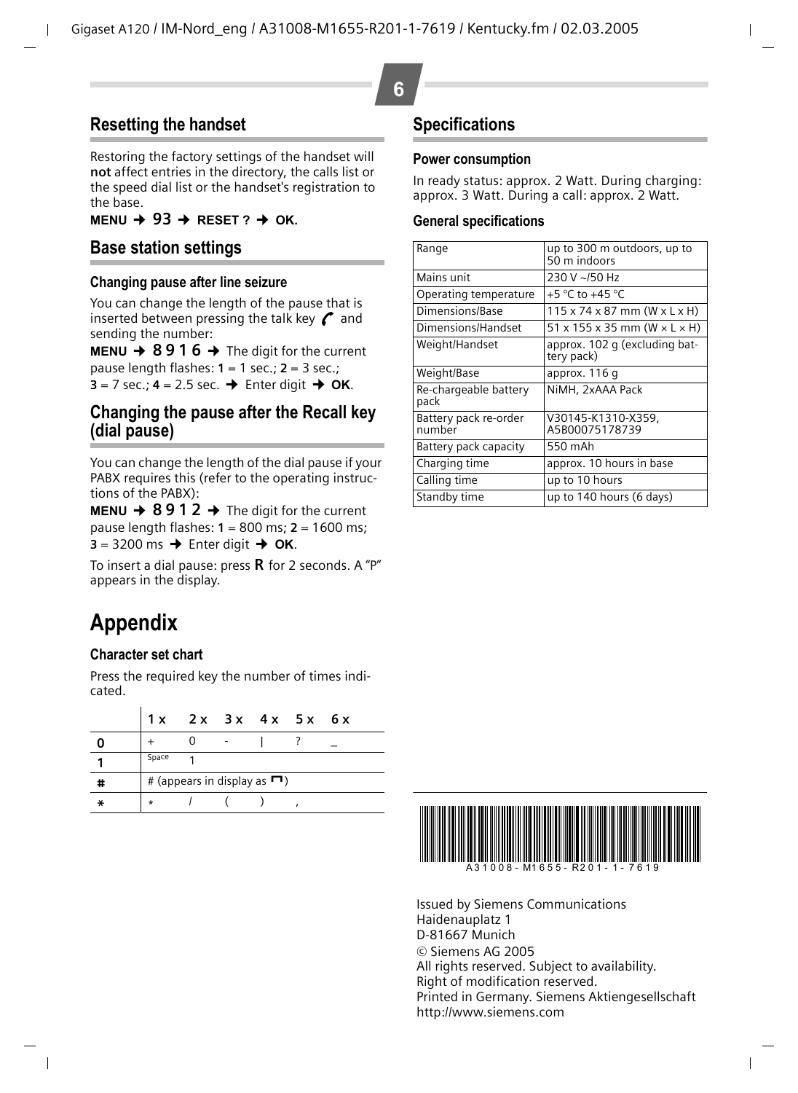## **Resetting the handset**

Restoring the factory settings of the handset will **not** affect entries in the directory, the calls list or the speed dial list or the handset's registration to the base.

 $MENU + 93 + RESET$ ?  $\rightarrow$  OK.

### **Base station settings**

#### **Changing pause after line seizure**

You can change the length of the pause that is inserted between pressing the talk key  $\curvearrowright$  and sending the number:

**MENU**  $\rightarrow$  **8916**  $\rightarrow$  The digit for the current pause length flashes: **1** = 1 sec.; **2** = 3 sec.;  $3 = 7$  sec.;  $4 = 2.5$  sec.  $\rightarrow$  Enter digit  $\rightarrow$  OK.

### **Changing the pause after the Recall key (dial pause)**

You can change the length of the dial pause if your PABX requires this (refer to the operating instructions of the PABX):

**MENU**  $\rightarrow$  **8912**  $\rightarrow$  The digit for the current pause length flashes: **1** = 800 ms; **2** = 1600 ms;  $3 = 3200 \text{ ms} \rightarrow$  Enter digit  $\rightarrow \text{OK}$ .

To insert a dial pause: press  $\bf R$  for 2 seconds. A "P" appears in the display.

# **Appendix**

### <span id="page-5-1"></span>**Character set chart**

Press the required key the number of times indicated.

|   | 1 x                                       |  |  | 2x 3x 4x 5x 6x |  |  |
|---|-------------------------------------------|--|--|----------------|--|--|
|   |                                           |  |  |                |  |  |
|   | Space                                     |  |  |                |  |  |
| # | # (appears in display as $\blacksquare$ ) |  |  |                |  |  |
|   | $\star$                                   |  |  |                |  |  |

### **Specifications**

#### **Power consumption**

In ready status: approx. 2 Watt. During charging: approx. 3 Watt. During a call: approx. 2 Watt.

#### <span id="page-5-0"></span>**General specifications**

| Range                           | up to 300 m outdoors, up to<br>50 m indoors            |  |  |
|---------------------------------|--------------------------------------------------------|--|--|
| Mains unit                      | 230 V ~/50 Hz                                          |  |  |
| Operating temperature           | +5 °C to +45 °C                                        |  |  |
| Dimensions/Base                 | $115 \times 74 \times 87$ mm (W $\times$ L $\times$ H) |  |  |
| Dimensions/Handset              | $51 \times 155 \times 35$ mm (W $\times$ L $\times$ H) |  |  |
| Weight/Handset                  | approx. 102 g (excluding bat-<br>tery pack)            |  |  |
| Weight/Base                     | approx. 116 q                                          |  |  |
| Re-chargeable battery<br>pack   | NiMH, 2xAAA Pack                                       |  |  |
| Battery pack re-order<br>number | V30145-K1310-X359.<br>A5B00075178739                   |  |  |
| Battery pack capacity           | 550 mAh                                                |  |  |
| Charging time                   | approx. 10 hours in base                               |  |  |
| Calling time                    | up to 10 hours                                         |  |  |
| Standby time                    | up to 140 hours (6 days)                               |  |  |



Issued by Siemens Communications Haidenauplatz 1 D-81667 Munich © Siemens AG 2005 All rights reserved. Subject to availability. Right of modification reserved. Printed in Germany. Siemens Aktiengesellschaft http://www.siemens.com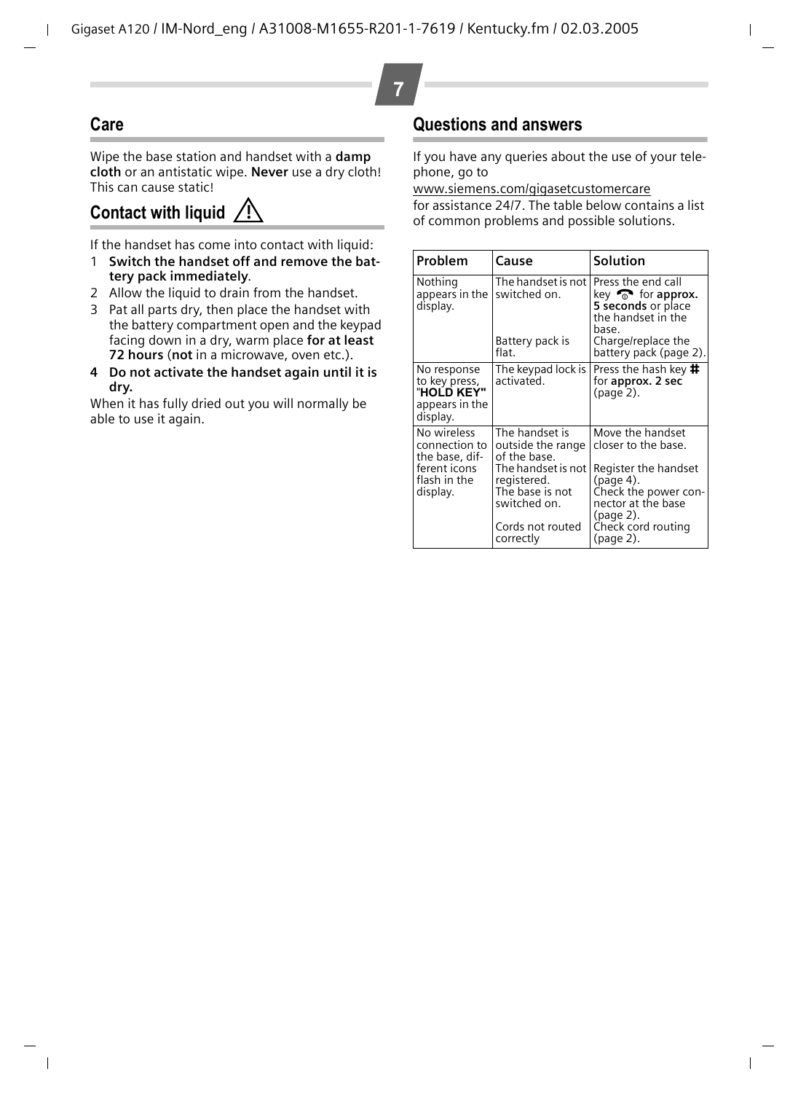## **Care**

Wipe the base station and handset with a **damp cloth** or an antistatic wipe. **Never** use a dry cloth! This can cause static!

## <span id="page-6-0"></span>**Contact with liquid**

If the handset has come into contact with liquid:

- 1 **Switch the handset off and remove the battery pack immediately**.
- 2 Allow the liquid to drain from the handset.
- 3 Pat all parts dry, then place the handset with the battery compartment open and the keypad facing down in a dry, warm place **for at least 72 hours** (**not** in a microwave, oven etc.).
- **4 Do not activate the handset again until it is dry.**

When it has fully dried out you will normally be able to use it again.

## <span id="page-6-1"></span>**Questions and answers**

If you have any queries about the use of your telephone, go to

[www.siemens.com/gigasetcustomercare](http://www.siemens.com/gigasetcustomercare  )

for assistance 24/7. The table below contains a list of common problems and possible solutions. **!**

| Problem                                                                                    | Cause                                                                                                                                                        | Solution                                                                                                                                                                   |  |
|--------------------------------------------------------------------------------------------|--------------------------------------------------------------------------------------------------------------------------------------------------------------|----------------------------------------------------------------------------------------------------------------------------------------------------------------------------|--|
| Nothing<br>appears in the<br>display.                                                      | The handset is not<br>switched on.<br>Battery pack is<br>flat.                                                                                               | Press the end call<br>key $\widehat{\mathbb{R}}$ for approx.<br>5 seconds or place<br>the handset in the<br>hase.<br>Charge/replace the<br>battery pack (page 2).          |  |
| No response<br>to key press,<br>"HOLD KEY"<br>appears in the<br>display.                   | The keypad lock is<br>activated.                                                                                                                             | Press the hash key <b>井</b><br>for approx. 2 sec<br>(page 2).                                                                                                              |  |
| No wireless<br>connection to<br>the base, dif-<br>ferent icons<br>flash in the<br>display. | The handset is<br>outside the range<br>of the base.<br>The handset is not<br>registered.<br>The base is not<br>switched on.<br>Cords not routed<br>correctly | Move the handset<br>closer to the base.<br>Register the handset<br>(page 4).<br>Check the power con-<br>nector at the base<br>(page 2).<br>Check cord routing<br>(page 2). |  |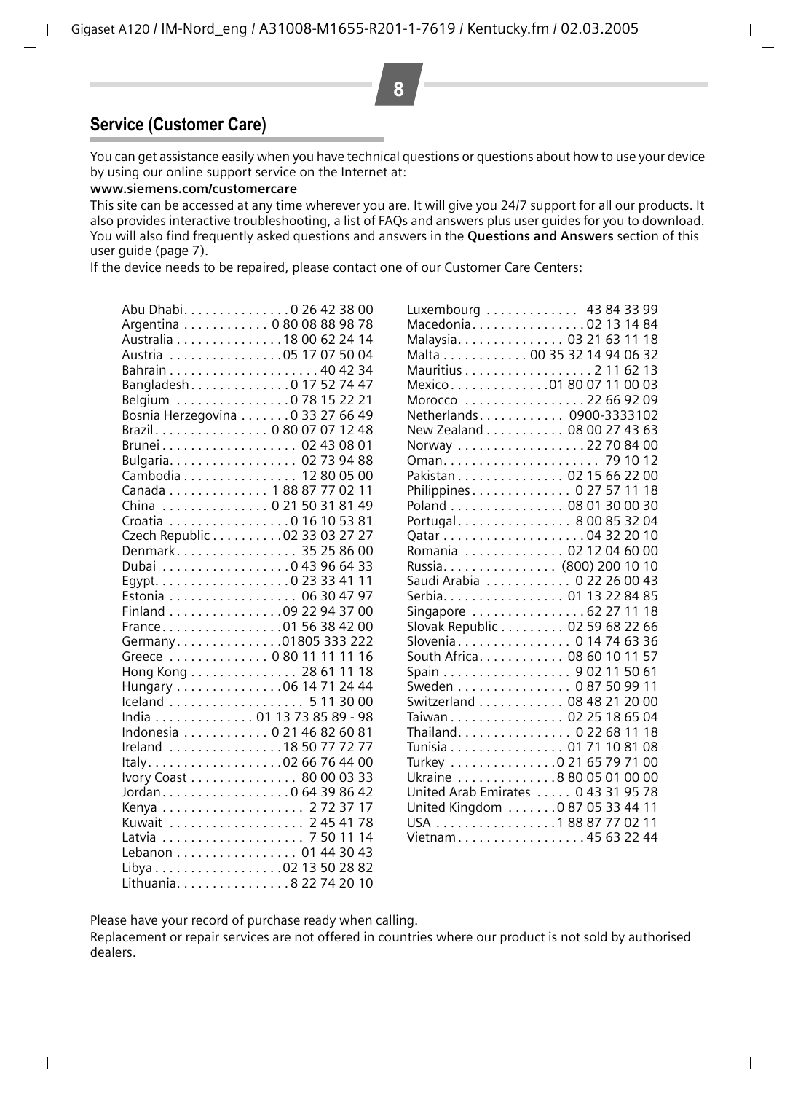## **Service (Customer Care)**

You can get assistance easily when you have technical questions or questions about how to use your device by using our online support service on the Internet at:

#### **www.siemens.com/customercare**

This site can be accessed at any time wherever you are. It will give you 24/7 support for all our products. It also provides interactive troubleshooting, a list of FAQs and answers plus user guides for you to download. You will also find frequently asked questions and answers in the **Questions and Answers** section of this user guide [\(page 7\)](#page-6-1).

If the device needs to be repaired, please contact one of our Customer Care Centers:

| Abu Dhabi. 0 26 42 38 00         |
|----------------------------------|
| Argentina 0 80 08 88 98 78       |
| Australia 18 00 62 24 14         |
| Austria 05 17 07 50 04           |
|                                  |
| Bangladesh. 0 17 52 74 47        |
| Belgium 0 78 15 22 21            |
| Bosnia Herzegovina 0 33 27 66 49 |
| Brazil. 0 80 07 07 12 48         |
| ----<br>Brunei 02 43 08 01       |
| Bulgaria. 02 73 94 88            |
| Cambodia 12 80 05 00             |
| Canada 1 88 87 77 02 11          |
| China  0 21 50 31 81 49          |
| Croatia 0 16 10 53 81            |
| Czech Republic 02 33 03 27 27    |
| Denmark 35 25 86 00              |
| Dubai 0 43 96 64 33              |
|                                  |
| Estonia 06 30 47 97              |
| Finland 09 22 94 37 00           |
| France. 01 56 38 42 00           |
| Germany. 01805 333 222           |
| Greece  0 80 11 11 11 16         |
| Hong Kong 28 61 11 18            |
| Hungary 06 14 71 24 44           |
| Iceland 5 11 30 00               |
| India 01 13 73 85 89 - 98        |
| Indonesia 0 21 46 82 60 81       |
| Ireland 18 50 77 72 77           |
| Italy02 66 76 44 00              |
| Ivory Coast 80 00 03 33          |
| Jordan. 0 64 39 86 42            |
| Kenya  2723717                   |
| Kuwait  2454178                  |
|                                  |
| Lebanon 01 44 30 43              |
|                                  |
| Lithuania. 8 22 74 20 10         |

| Luxembourg  43 84 33 99             |
|-------------------------------------|
| Macedonia02 13 14 84                |
| Malaysia. 03 21 63 11 18            |
| Malta 00 35 32 14 94 06 32          |
| Mauritius 2 11 62 13                |
| Mexico01 80 07 11 00 03             |
| Morocco 22 66 92 09                 |
| Netherlands 0900-3333102            |
| New Zealand 08 00 27 43 63          |
| Norway 22 70 84 00                  |
| 79 10 12                            |
| Pakistan 02 15 66 22 00             |
| Philippines 0 27 57 11 18           |
| Poland  08 01 30 00 30              |
| Portugal 8 00 85 32 04              |
|                                     |
| Romania  02 12 04 60 00             |
| Russia. (800) 200 10 10             |
| Saudi Arabia 0 22 26 00 43          |
| Serbia. 01 13 22 84 85              |
| Singapore 62 27 11 18               |
| Slovak Republic 02 59 68 22 66      |
| Slovenia 0 14 74 63 36              |
| South Africa. 08 60 10 11 57        |
| Spain 9 02 11 50 61                 |
| Sweden 0 87 50 99 11                |
| Switzerland 08 48 21 20 00          |
| Taiwan 02 25 18 65 04               |
| Thailand. 0 22 68 11 18             |
| Tunisia 01 71 10 81<br>08           |
| Turkey 0 21 65 79 71 00             |
| Ukraine 8 80 05 01 00 00            |
| United Arab Emirates  0 43 31 95 78 |
| United Kingdom 0 87 05 33 44 11     |
| USA 18887770211                     |
| Vietnam45 63 22 44                  |
|                                     |

Please have your record of purchase ready when calling.

Replacement or repair services are not offered in countries where our product is not sold by authorised dealers.

**8**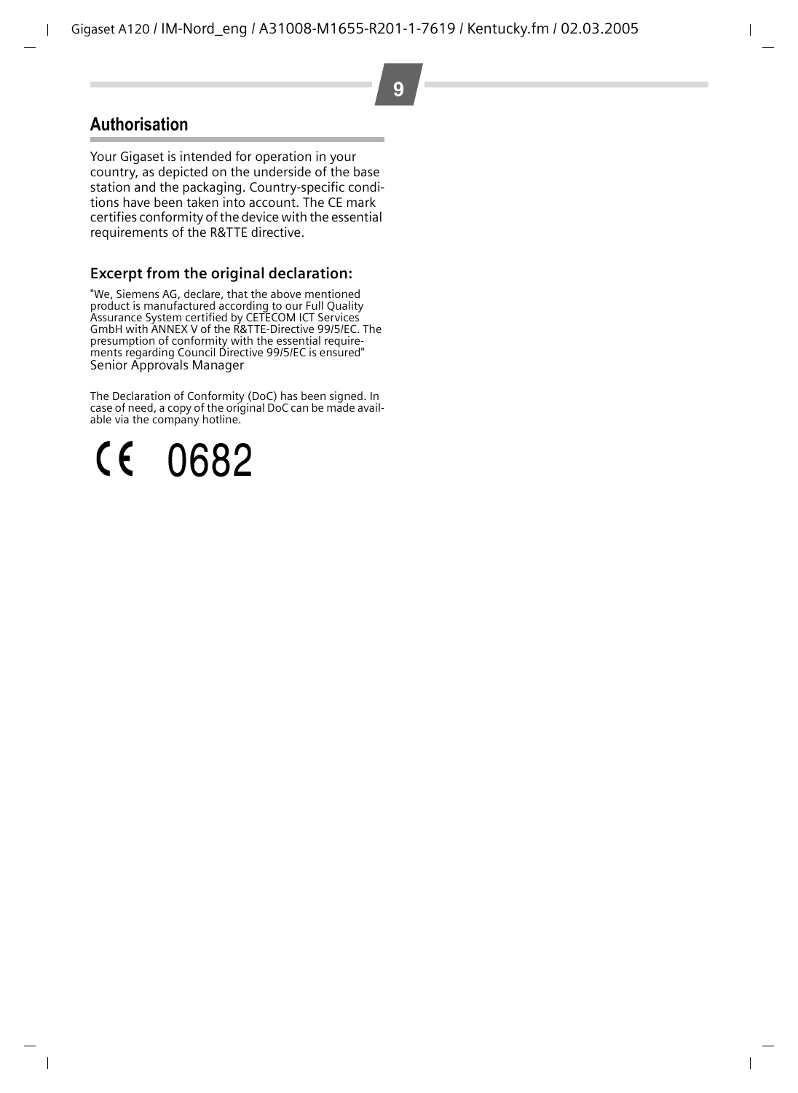## **Authorisation**

Your Gigaset is intended for operation in your country, as depicted on the underside of the base station and the packaging. Country-specific conditions have been taken into account. The CE mark certifies conformity of the device with the essential requirements of the R&TTE directive.

### **Excerpt from the original declaration:**

"We, Siemens AG, declare, that the above mentioned product is manufactured according to our Full Quality Assurance System certified by CETECOM ICT Services GmbH with ANNEX V of the R&TTE-Directive 99/5/EC. The presumption of conformity with the essential requirements regarding Council Directive 99/5/EC is ensured" Senior Approvals Manager

The Declaration of Conformity (DoC) has been signed. In case of need, a copy of the original DoC can be made available via the company hotline.

 $\zeta(\epsilon)$ 0682